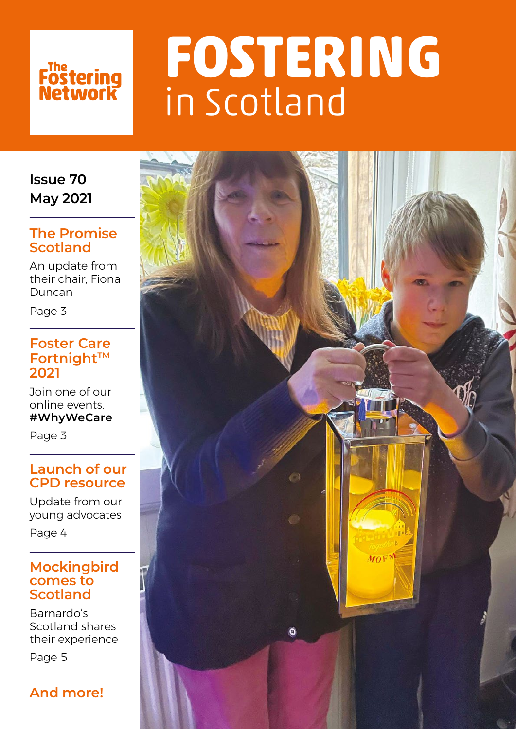

# **FOSTERING**  in Scotland

### **Issue 70 May 2021**

### **The Promise Scotland**

An update from their chair, Fiona Duncan

Page 3

### **Foster Care Fortnight™ 2021**

Join one of our online events. **#WhyWeCare**

Page 3

### **Launch of our CPD resource**

Update from our young advocates

Page 4

### **Mockingbird comes to Scotland**

Barnardo's Scotland shares their experience

Page 5

### **And more!**

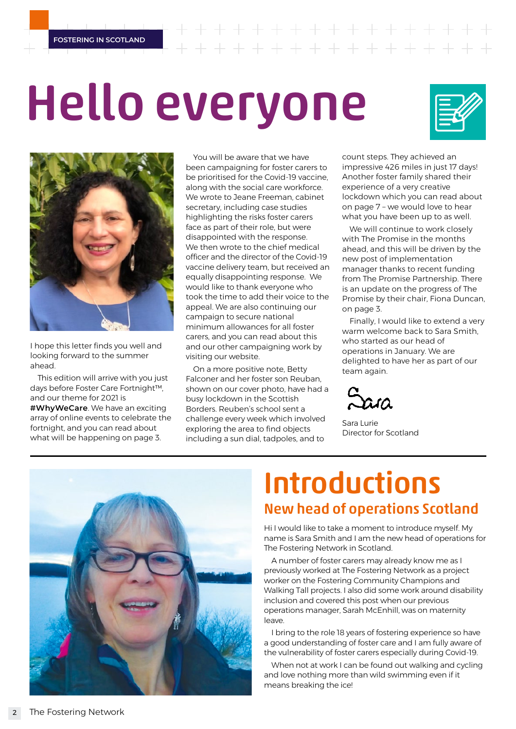**FOSTERING IN SCOTLAND**

 $+ + + + + + +$ 

# Hello everyone





I hope this letter finds you well and looking forward to the summer ahead.

This edition will arrive with you just days before Foster Care Fortnight™, and our theme for 2021 is **#WhyWeCare**. We have an exciting array of online events to celebrate the fortnight, and you can read about what will be happening on page 3.

You will be aware that we have been campaigning for foster carers to be prioritised for the Covid-19 vaccine, along with the social care workforce. We wrote to Jeane Freeman, cabinet secretary, including case studies highlighting the risks foster carers face as part of their role, but were disappointed with the response. We then wrote to the chief medical officer and the director of the Covid-19 vaccine delivery team, but received an equally disappointing response. We would like to thank everyone who took the time to add their voice to the appeal. We are also continuing our campaign to secure national minimum allowances for all foster carers, and you can read about this and our other campaigning work by visiting our website.

On a more positive note, Betty Falconer and her foster son Reuban, shown on our cover photo, have had a busy lockdown in the Scottish Borders. Reuben's school sent a challenge every week which involved exploring the area to find objects including a sun dial, tadpoles, and to

count steps. They achieved an impressive 426 miles in just 17 days! Another foster family shared their experience of a very creative lockdown which you can read about on page 7 – we would love to hear what you have been up to as well.

We will continue to work closely with The Promise in the months ahead, and this will be driven by the new post of implementation manager thanks to recent funding from The Promise Partnership. There is an update on the progress of The Promise by their chair, Fiona Duncan, on page 3.

Finally, I would like to extend a very warm welcome back to Sara Smith who started as our head of operations in January. We are delighted to have her as part of our team again.



Sara Lurie Director for Scotland



## Introductions New head of operations Scotland

Hi I would like to take a moment to introduce myself. My name is Sara Smith and I am the new head of operations for The Fostering Network in Scotland.

A number of foster carers may already know me as I previously worked at The Fostering Network as a project worker on the Fostering Community Champions and Walking Tall projects. I also did some work around disability inclusion and covered this post when our previous operations manager, Sarah McEnhill, was on maternity leave.

I bring to the role 18 years of fostering experience so have a good understanding of foster care and I am fully aware of the vulnerability of foster carers especially during Covid-19.

When not at work I can be found out walking and cycling and love nothing more than wild swimming even if it means breaking the ice!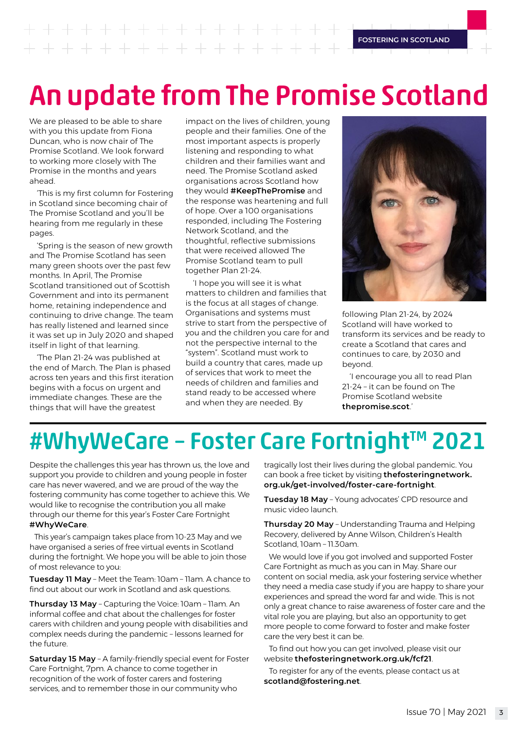## An update from The Promise Scotland

We are pleased to be able to share with you this update from Fiona Duncan, who is now chair of The Promise Scotland. We look forward to working more closely with The Promise in the months and years ahead.

'This is my first column for Fostering in Scotland since becoming chair of The Promise Scotland and you'll be hearing from me regularly in these pages.

'Spring is the season of new growth and The Promise Scotland has seen many green shoots over the past few months. In April, The Promise Scotland transitioned out of Scottish Government and into its permanent home, retaining independence and continuing to drive change. The team has really listened and learned since it was set up in July 2020 and shaped itself in light of that learning.

'The Plan 21-24 was published at the end of March. The Plan is phased across ten years and this first iteration begins with a focus on urgent and immediate changes. These are the things that will have the greatest

impact on the lives of children, young people and their families. One of the most important aspects is properly listening and responding to what children and their families want and need. The Promise Scotland asked organisations across Scotland how they would **#KeepThePromise** and the response was heartening and full of hope. Over a 100 organisations responded, including The Fostering Network Scotland, and the thoughtful, reflective submissions that were received allowed The Promise Scotland team to pull together Plan 21-24.

'I hope you will see it is what matters to children and families that is the focus at all stages of change. Organisations and systems must strive to start from the perspective of you and the children you care for and not the perspective internal to the "system". Scotland must work to build a country that cares, made up of services that work to meet the needs of children and families and stand ready to be accessed where and when they are needed. By



following Plan 21-24, by 2024 Scotland will have worked to transform its services and be ready to create a Scotland that cares and continues to care, by 2030 and beyond.

'I encourage you all to read Plan 21-24 – it can be found on The Promise Scotland website **[thepromise.scot](http://thepromise.scot)**.'

## #WhyWeCare - Foster Care Fortnight™ 2021

Despite the challenges this year has thrown us, the love and support you provide to children and young people in foster care has never wavered, and we are proud of the way the fostering community has come together to achieve this. We would like to recognise the contribution you all make through our theme for this year's Foster Care Fortnight **#WhyWeCare**.

This year's campaign takes place from 10-23 May and we have organised a series of free virtual events in Scotland during the fortnight. We hope you will be able to join those of most relevance to you:

**Tuesday 11 May** – Meet the Team: 10am – 11am. A chance to find out about our work in Scotland and ask questions.

**Thursday 13 May** – Capturing the Voice: 10am – 11am. An informal coffee and chat about the challenges for foster carers with children and young people with disabilities and complex needs during the pandemic – lessons learned for the future.

**Saturday 15 May** – A family-friendly special event for Foster Care Fortnight, 7pm. A chance to come together in recognition of the work of foster carers and fostering services, and to remember those in our community who

tragically lost their lives during the global pandemic. You can book a free ticket by visiting **[thefosteringnetwork.](http://thefosteringnetwork.org.uk/get-involved/foster-care-fortnight) [org.uk/get-involved/foster-care-fortnight](http://thefosteringnetwork.org.uk/get-involved/foster-care-fortnight)**.

**Tuesday 18 May** – Young advocates' CPD resource and music video launch.

**Thursday 20 May** – Understanding Trauma and Helping Recovery, delivered by Anne Wilson, Children's Health Scotland, 10am – 11.30am.

We would love if you got involved and supported Foster Care Fortnight as much as you can in May. Share our content on social media, ask your fostering service whether they need a media case study if you are happy to share your experiences and spread the word far and wide. This is not only a great chance to raise awareness of foster care and the vital role you are playing, but also an opportunity to get more people to come forward to foster and make foster care the very best it can be.

To find out how you can get involved, please visit our website **[thefosteringnetwork.org.uk/fcf21](http://thefosteringnetwork.org.uk/fcf21)**.

To register for any of the events, please contact us at **scotland@fostering.net**.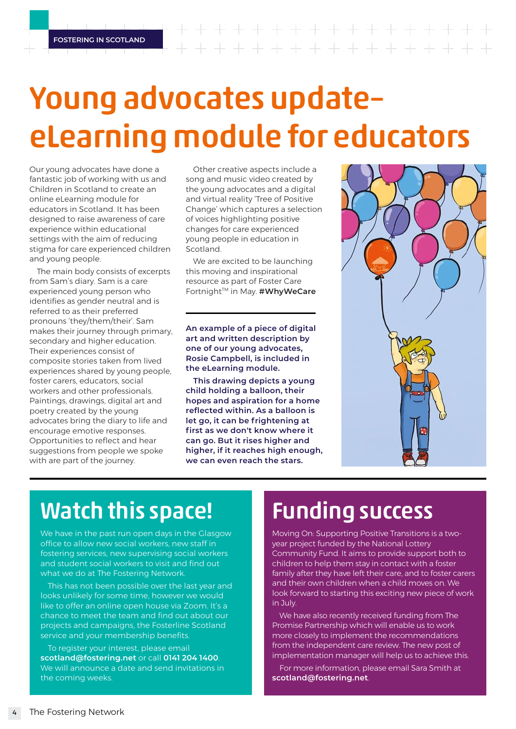# Young advocates update– eLearning module for educators

Our young advocates have done a fantastic job of working with us and Children in Scotland to create an online eLearning module for educators in Scotland. It has been designed to raise awareness of care experience within educational settings with the aim of reducing stigma for care experienced children and young people.

The main body consists of excerpts from Sam's diary. Sam is a care experienced young person who identifies as gender neutral and is referred to as their preferred pronouns 'they/them/their'. Sam makes their journey through primary, secondary and higher education. Their experiences consist of composite stories taken from lived experiences shared by young people, foster carers, educators, social workers and other professionals. Paintings, drawings, digital art and poetry created by the young advocates bring the diary to life and encourage emotive responses. Opportunities to reflect and hear suggestions from people we spoke with are part of the journey.

Other creative aspects include a song and music video created by the young advocates and a digital and virtual reality 'Tree of Positive Change' which captures a selection of voices highlighting positive changes for care experienced young people in education in Scotland.

We are excited to be launching this moving and inspirational resource as part of Foster Care Fortnight<sup>™</sup> in May. **#WhyWeCare** 

**An example of a piece of digital art and written description by one of our young advocates, Rosie Campbell, is included in the eLearning module.** 

**This drawing depicts a young child holding a balloon, their hopes and aspiration for a home reflected within. As a balloon is let go, it can be frightening at first as we don't know where it can go. But it rises higher and higher, if it reaches high enough, we can even reach the stars.** 



## Watch this space!

We have in the past run open days in the Glasgow office to allow new social workers, new staff in fostering services, new supervising social workers and student social workers to visit and find out what we do at The Fostering Network.

This has not been possible over the last year and looks unlikely for some time, however we would like to offer an online open house via Zoom. It's a chance to meet the team and find out about our projects and campaigns, the Fosterline Scotland service and your membership benefits.

To register your interest, please email **scotland@fostering.net** or call **0141 204 1400**. We will announce a date and send invitations in the coming weeks.

## Funding success

Moving On: Supporting Positive Transitions is a twoyear project funded by the National Lottery Community Fund. It aims to provide support both to children to help them stay in contact with a foster family after they have left their care, and to foster carers and their own children when a child moves on. We look forward to starting this exciting new piece of work in July.

We have also recently received funding from The Promise Partnership which will enable us to work more closely to implement the recommendations from the independent care review. The new post of implementation manager will help us to achieve this.

For more information, please email Sara Smith at **scotland@fostering.net**.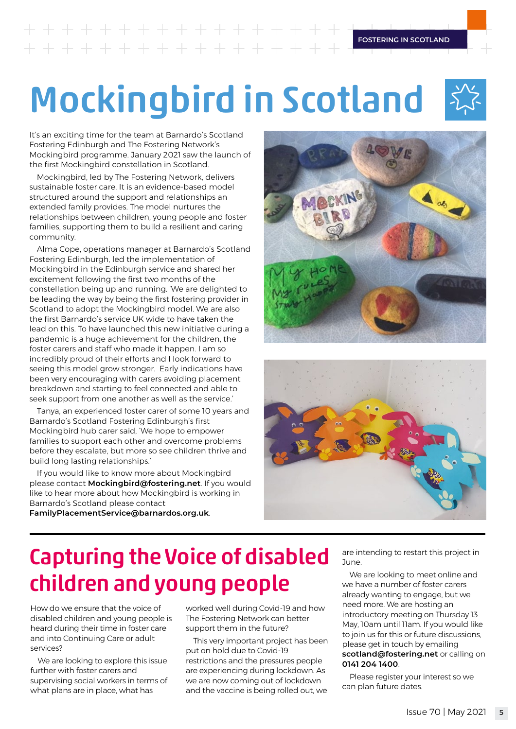# **FOSTERING IN SCOTLAND**

# Mockingbird in Scotland

It's an exciting time for the team at Barnardo's Scotland Fostering Edinburgh and The Fostering Network's Mockingbird programme. January 2021 saw the launch of the first Mockingbird constellation in Scotland.

Mockingbird, led by The Fostering Network, delivers sustainable foster care. It is an evidence-based model structured around the support and relationships an extended family provides. The model nurtures the relationships between children, young people and foster families, supporting them to build a resilient and caring community.

Alma Cope, operations manager at Barnardo's Scotland Fostering Edinburgh, led the implementation of Mockingbird in the Edinburgh service and shared her excitement following the first two months of the constellation being up and running. 'We are delighted to be leading the way by being the first fostering provider in Scotland to adopt the Mockingbird model. We are also the first Barnardo's service UK wide to have taken the lead on this. To have launched this new initiative during a pandemic is a huge achievement for the children, the foster carers and staff who made it happen. I am so incredibly proud of their efforts and I look forward to seeing this model grow stronger. Early indications have been very encouraging with carers avoiding placement breakdown and starting to feel connected and able to seek support from one another as well as the service.'

Tanya, an experienced foster carer of some 10 years and Barnardo's Scotland Fostering Edinburgh's first Mockingbird hub carer said, 'We hope to empower families to support each other and overcome problems before they escalate, but more so see children thrive and build long lasting relationships.'

If you would like to know more about Mockingbird please contact **Mockingbird@fostering.net**. If you would like to hear more about how Mockingbird is working in Barnardo's Scotland please contact





#### **FamilyPlacementService@barnardos.org.uk**.

## Capturing the Voice of disabled children and young people

How do we ensure that the voice of disabled children and young people is heard during their time in foster care and into Continuing Care or adult services?

We are looking to explore this issue further with foster carers and supervising social workers in terms of what plans are in place, what has

worked well during Covid-19 and how The Fostering Network can better support them in the future?

This very important project has been put on hold due to Covid-19 restrictions and the pressures people are experiencing during lockdown. As we are now coming out of lockdown and the vaccine is being rolled out, we are intending to restart this project in June.

We are looking to meet online and we have a number of foster carers already wanting to engage, but we need more. We are hosting an introductory meeting on Thursday 13 May, 10am until 11am. If you would like to join us for this or future discussions, please get in touch by emailing **scotland@fostering.net** or calling on **0141 204 1400**.

Please register your interest so we can plan future dates.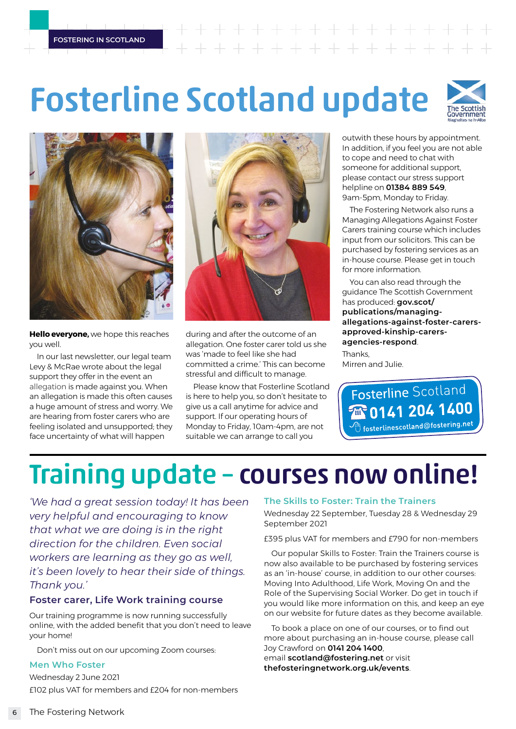#### **FOSTERING IN SCOTLAND**

# Fosterline Scotland update





**Hello everyone,** we hope this reaches you well.

In our last newsletter, our legal team Levy & McRae wrote about the legal support they offer in the event an allegation is made against you. When an allegation is made this often causes a huge amount of stress and worry. We are hearing from foster carers who are feeling isolated and unsupported; they face uncertainty of what will happen



during and after the outcome of an allegation. One foster carer told us she was 'made to feel like she had committed a crime.' This can become stressful and difficult to manage.

Please know that Fosterline Scotland is here to help you, so don't hesitate to give us a call anytime for advice and support. If our operating hours of Monday to Friday, 10am-4pm, are not suitable we can arrange to call you

outwith these hours by appointment. In addition, if you feel you are not able to cope and need to chat with someone for additional support, please contact our stress support helpline on **01384 889 549**, 9am-5pm, Monday to Friday.

The Fostering Network also runs a Managing Allegations Against Foster Carers training course which includes input from our solicitors. This can be purchased by fostering services as an in-house course. Please get in touch for more information.

You can also read through the guidance The Scottish Government has produced: **[gov.scot/](http://gov.scot/publications/managing-allegations-against-foster-carers-approved-kinship-carers-agencies-respond) [publications/managing](http://gov.scot/publications/managing-allegations-against-foster-carers-approved-kinship-carers-agencies-respond)[allegations-against-foster-carers](http://gov.scot/publications/managing-allegations-against-foster-carers-approved-kinship-carers-agencies-respond)[approved-kinship-carers](http://gov.scot/publications/managing-allegations-against-foster-carers-approved-kinship-carers-agencies-respond)[agencies-respond](http://gov.scot/publications/managing-allegations-against-foster-carers-approved-kinship-carers-agencies-respond)**.

**Thanks** Mirren and Julie.

Fosterline Scotland **TR** 0141 204 1400 fosterlinescotland@fostering.net

## Training update – courses now online!

*'We had a great session today! It has been very helpful and encouraging to know that what we are doing is in the right direction for the children. Even social workers are learning as they go as well, it's been lovely to hear their side of things. Thank you.'*

#### **Foster carer, Life Work training course**

Our training programme is now running successfully online, with the added benefit that you don't need to leave your home!

Don't miss out on our upcoming Zoom courses:

#### **Men Who Foster**

Wednesday 2 June 2021 £102 plus VAT for members and £204 for non-members

#### **The Skills to Foster: Train the Trainers**

Wednesday 22 September, Tuesday 28 & Wednesday 29 September 2021

£395 plus VAT for members and £790 for non-members

Our popular Skills to Foster: Train the Trainers course is now also available to be purchased by fostering services as an 'in-house' course, in addition to our other courses: Moving Into Adulthood, Life Work, Moving On and the Role of the Supervising Social Worker. Do get in touch if you would like more information on this, and keep an eye on our website for future dates as they become available.

To book a place on one of our courses, or to find out more about purchasing an in-house course, please call Joy Crawford on **0141 204 1400**, email **scotland@fostering.net** or visit **[thefosteringnetwork.org.uk/events](http:/thefosteringnetwork.org.uk/events)**.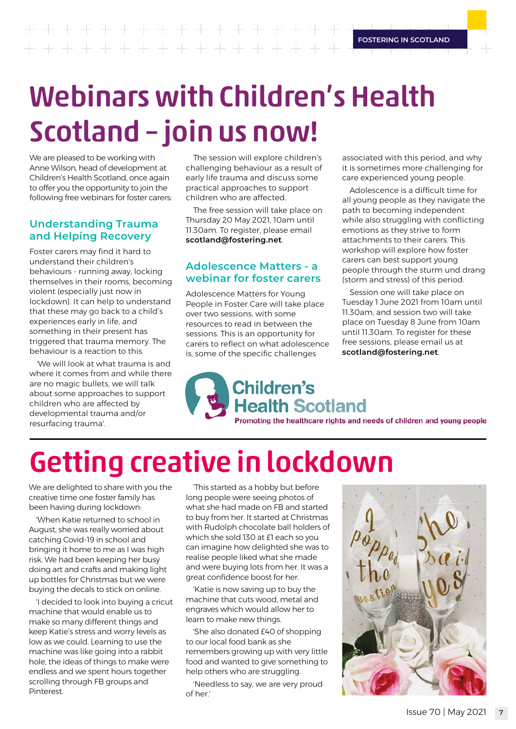**FOSTERING IN SCOTLAND**  $+ + + + + +$ 

# Webinars with Children's Health Scotland – join us now!

We are pleased to be working with Anne Wilson, head of development at Children's Health Scotland, once again to offer you the opportunity to join the following free webinars for foster carers:

#### **Understanding Trauma and Helping Recovery**

Foster carers may find it hard to understand their children's behaviours - running away, locking themselves in their rooms, becoming violent (especially just now in lockdown). It can help to understand that these may go back to a child's experiences early in life, and something in their present has triggered that trauma memory. The behaviour is a reaction to this.

'We will look at what trauma is and where it comes from and while there are no magic bullets, we will talk about some approaches to support children who are affected by developmental trauma and/or resurfacing trauma'.

The session will explore children's challenging behaviour as a result of early life trauma and discuss some practical approaches to support children who are affected.

The free session will take place on Thursday 20 May 2021, 10am until 11.30am. To register, please email **scotland@fostering.net**.

#### **Adolescence Matters - a webinar for foster carers**

Adolescence Matters for Young People in Foster Care will take place over two sessions, with some resources to read in between the sessions. This is an opportunity for carers to reflect on what adolescence is, some of the specific challenges

associated with this period, and why it is sometimes more challenging for care experienced young people.

Adolescence is a difficult time for all young people as they navigate the path to becoming independent while also struggling with conflicting emotions as they strive to form attachments to their carers. This workshop will explore how foster carers can best support young people through the sturm und drang (storm and stress) of this period.

Session one will take place on Tuesday 1 June 2021 from 10am until 11.30am, and session two will take place on Tuesday 8 June from 10am until 11.30am. To register for these free sessions, please email us at **scotland@fostering.net**.

**Children's Health Scotland** Promoting the healthcare rights and needs of children and young people

Getting creative in lockdown

We are delighted to share with you the creative time one foster family has been having during lockdown:

'When Katie returned to school in August, she was really worried about catching Covid-19 in school and bringing it home to me as I was high risk. We had been keeping her busy doing art and crafts and making light up bottles for Christmas but we were buying the decals to stick on online.

'I decided to look into buying a cricut machine that would enable us to make so many different things and keep Katie's stress and worry levels as low as we could. Learning to use the machine was like going into a rabbit hole, the ideas of things to make were endless and we spent hours together scrolling through FB groups and Pinterest.

'This started as a hobby but before long people were seeing photos of what she had made on FB and started to buy from her. It started at Christmas with Rudolph chocolate ball holders of which she sold 130 at £1 each so you can imagine how delighted she was to realise people liked what she made and were buying lots from her. It was a great confidence boost for her.

'Katie is now saving up to buy the machine that cuts wood, metal and engraves which would allow her to learn to make new things.

'She also donated £40 of shopping to our local food bank as she remembers growing up with very little food and wanted to give something to help others who are struggling.

'Needless to say, we are very proud of her.'